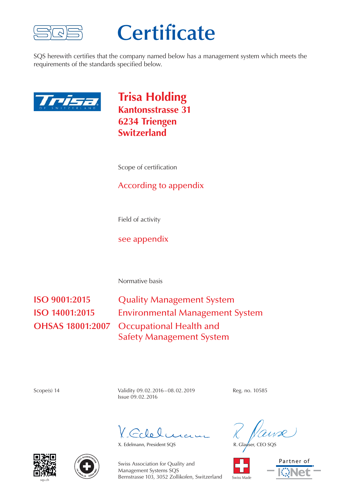

## **Certificate**

SQS herewith certifies that the company named below has a management system which meets the requirements of the standards specified below.



**Trisa Holding Kantonsstrasse 31 6234 Triengen Switzerland**

Scope of certification

## According to appendix

Field of activity

see appendix

Normative basis

**ISO 9001:2015** Quality Management System **ISO 14001:2015** Environmental Management System **OHSAS 18001:2007** Occupational Health and Safety Management System

Scope(s) 14 Validity 09.02.2016 – 08.02.2019 Reg. no. 10585 Issue 09. 02. 2016

 $C_0$  le le

X. Edelmann, President SQS R. Glauser, CEO SQ









Swiss Association for Quality and Management Systems SQS Bernstrasse 103, 3052 Zollikofen, Switzerland